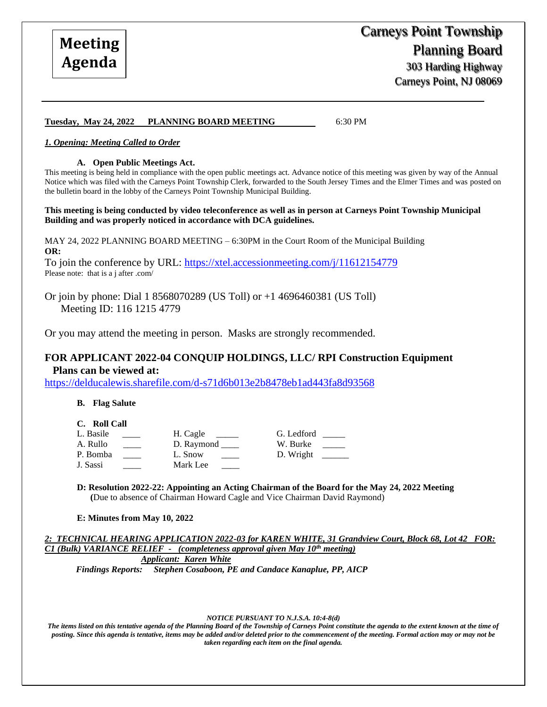Carneys Point, NJ 08069

#### **Tuesday, May 24, 2022 PLANNING BOARD MEETING** 6:30 PM

#### *1. Opening: Meeting Called to Order*

#### **A. Open Public Meetings Act.**

This meeting is being held in compliance with the open public meetings act. Advance notice of this meeting was given by way of the Annual Notice which was filed with the Carneys Point Township Clerk, forwarded to the South Jersey Times and the Elmer Times and was posted on the bulletin board in the lobby of the Carneys Point Township Municipal Building.

**This meeting is being conducted by video teleconference as well as in person at Carneys Point Township Municipal Building and was properly noticed in accordance with DCA guidelines.**

MAY 24, 2022 PLANNING BOARD MEETING – 6:30PM in the Court Room of the Municipal Building **OR:**

To join the conference by URL:<https://xtel.accessionmeeting.com/j/11612154779> Please note: that is a j after .com/

Or join by phone: Dial 1 8568070289 (US Toll) or +1 4696460381 (US Toll) Meeting ID: 116 1215 4779

Or you may attend the meeting in person. Masks are strongly recommended.

# **FOR APPLICANT 2022-04 CONQUIP HOLDINGS, LLC/ RPI Construction Equipment Plans can be viewed at:**

<https://delducalewis.sharefile.com/d-s71d6b013e2b8478eb1ad443fa8d93568>

#### **B. Flag Salute**

- **C. Roll Call**
- L. Basile \_\_\_\_ H. Cagle \_\_\_\_ G. Ledford \_\_ P. Bomba  $L.$  Snow  $D.$  Wright

J. Sassi Mark Lee

A. Rullo \_\_\_\_\_ D. Raymond \_\_\_\_ W. Burke \_\_\_

**D: Resolution 2022-22: Appointing an Acting Chairman of the Board for the May 24, 2022 Meeting (**Due to absence of Chairman Howard Cagle and Vice Chairman David Raymond)

#### **E: Minutes from May 10, 2022**

*2: TECHNICAL HEARING APPLICATION 2022-03 for KAREN WHITE, 31 Grandview Court, Block 68, Lot 42 FOR: C1 (Bulk) VARIANCE RELIEF - (completeness approval given May 10th meeting)*

*Applicant: Karen White Findings Reports: Stephen Cosaboon, PE and Candace Kanaplue, PP, AICP* 

#### *NOTICE PURSUANT TO N.J.S.A. 10:4-8(d)*

*The items listed on this tentative agenda of the Planning Board of the Township of Carneys Point constitute the agenda to the extent known at the time of posting. Since this agenda is tentative, items may be added and/or deleted prior to the commencement of the meeting. Formal action may or may not be taken regarding each item on the final agenda.*